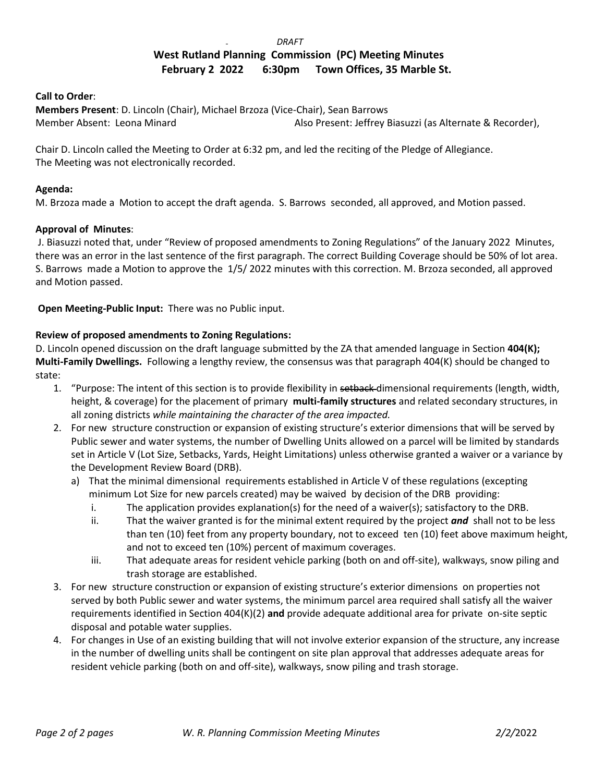#### *DRAFT*

# **West Rutland Planning Commission (PC) Meeting Minutes February 2 2022 6:30pm Town Offices, 35 Marble St.**

## **Call to Order**:

**Members Present**: D. Lincoln (Chair), Michael Brzoza (Vice-Chair), Sean Barrows Member Absent: Leona Minard **Also Present: Jeffrey Biasuzzi (as Alternate & Recorder)**,

Chair D. Lincoln called the Meeting to Order at 6:32 pm, and led the reciting of the Pledge of Allegiance. The Meeting was not electronically recorded.

## **Agenda:**

M. Brzoza made a Motion to accept the draft agenda. S. Barrows seconded, all approved, and Motion passed.

## **Approval of Minutes**:

J. Biasuzzi noted that, under "Review of proposed amendments to Zoning Regulations" of the January 2022 Minutes, there was an error in the last sentence of the first paragraph. The correct Building Coverage should be 50% of lot area. S. Barrows made a Motion to approve the 1/5/ 2022 minutes with this correction. M. Brzoza seconded, all approved and Motion passed.

**Open Meeting-Public Input:** There was no Public input.

## **Review of proposed amendments to Zoning Regulations:**

D. Lincoln opened discussion on the draft language submitted by the ZA that amended language in Section **404(K); Multi-Family Dwellings.** Following a lengthy review, the consensus was that paragraph 404(K) should be changed to state:

- 1. "Purpose: The intent of this section is to provide flexibility in setback-dimensional requirements (length, width, height, & coverage) for the placement of primary **multi-family structures** and related secondary structures, in all zoning districts *while maintaining the character of the area impacted.*
- 2. For new structure construction or expansion of existing structure's exterior dimensions that will be served by Public sewer and water systems, the number of Dwelling Units allowed on a parcel will be limited by standards set in Article V (Lot Size, Setbacks, Yards, Height Limitations) unless otherwise granted a waiver or a variance by the Development Review Board (DRB).
	- a) That the minimal dimensional requirements established in Article V of these regulations (excepting minimum Lot Size for new parcels created) may be waived by decision of the DRB providing:
		- i. The application provides explanation(s) for the need of a waiver(s); satisfactory to the DRB.
		- ii. That the waiver granted is for the minimal extent required by the project *and* shall not to be less than ten (10) feet from any property boundary, not to exceed ten (10) feet above maximum height, and not to exceed ten (10%) percent of maximum coverages.
		- iii. That adequate areas for resident vehicle parking (both on and off-site), walkways, snow piling and trash storage are established.
- 3. For new structure construction or expansion of existing structure's exterior dimensions on properties not served by both Public sewer and water systems, the minimum parcel area required shall satisfy all the waiver requirements identified in Section 404(K)(2) **and** provide adequate additional area for private on-site septic disposal and potable water supplies.
- 4. For changes in Use of an existing building that will not involve exterior expansion of the structure, any increase in the number of dwelling units shall be contingent on site plan approval that addresses adequate areas for resident vehicle parking (both on and off-site), walkways, snow piling and trash storage.